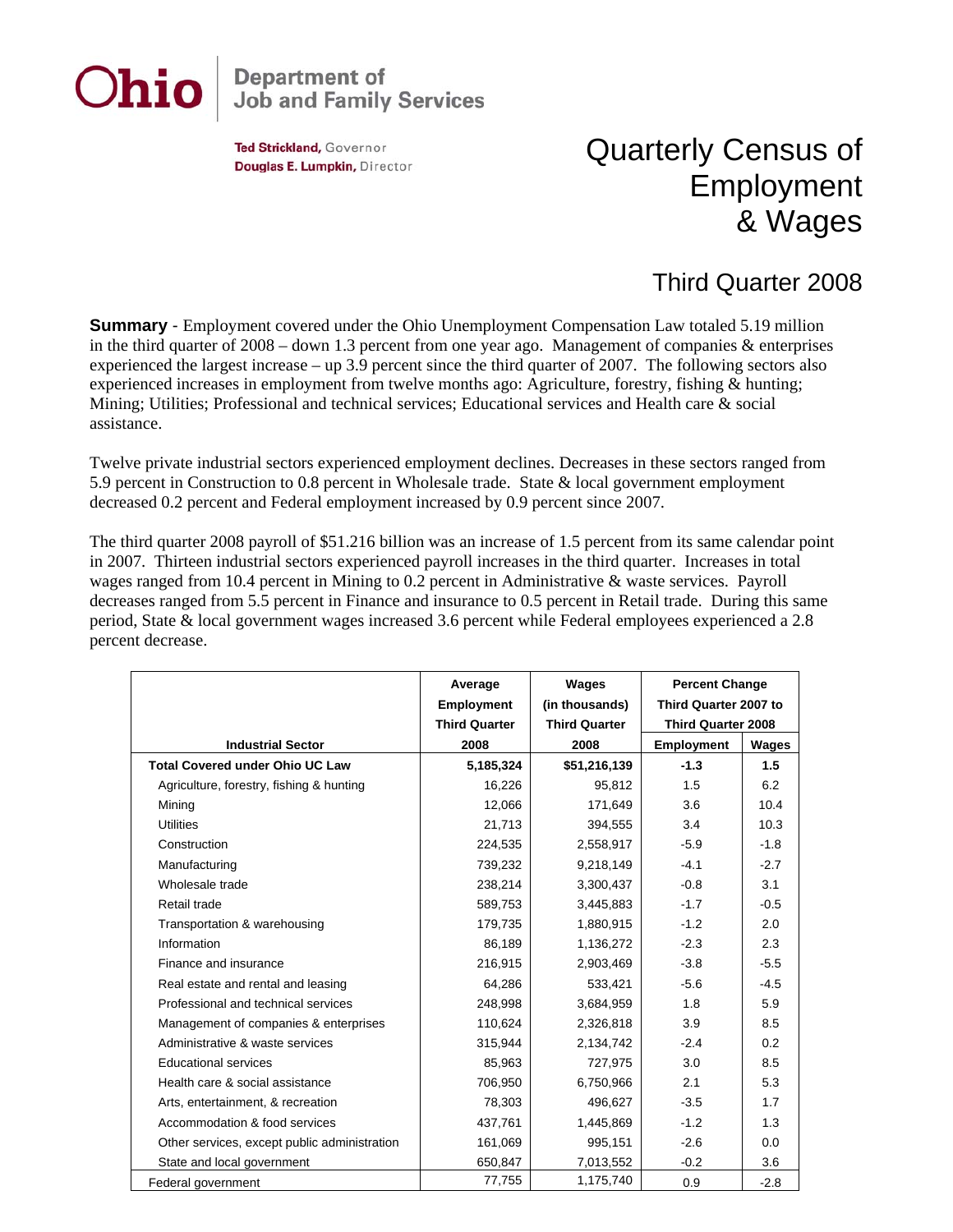

## **Department of<br>Job and Family Services**

Ted Strickland, Governor Douglas E. Lumpkin, Director

## Quarterly Census of Employment & Wages

## Third Quarter 2008

**Summary** - Employment covered under the Ohio Unemployment Compensation Law totaled 5.19 million in the third quarter of  $2008 -$  down 1.3 percent from one year ago. Management of companies & enterprises experienced the largest increase – up 3.9 percent since the third quarter of 2007. The following sectors also experienced increases in employment from twelve months ago: Agriculture, forestry, fishing & hunting; Mining; Utilities; Professional and technical services; Educational services and Health care & social assistance.

Twelve private industrial sectors experienced employment declines. Decreases in these sectors ranged from 5.9 percent in Construction to 0.8 percent in Wholesale trade. State & local government employment decreased 0.2 percent and Federal employment increased by 0.9 percent since 2007.

The third quarter 2008 payroll of \$51.216 billion was an increase of 1.5 percent from its same calendar point in 2007. Thirteen industrial sectors experienced payroll increases in the third quarter. Increases in total wages ranged from 10.4 percent in Mining to 0.2 percent in Administrative & waste services. Payroll decreases ranged from 5.5 percent in Finance and insurance to 0.5 percent in Retail trade. During this same period, State & local government wages increased 3.6 percent while Federal employees experienced a 2.8 percent decrease.

|                                              | Average<br><b>Employment</b> | Wages<br>(in thousands) | <b>Percent Change</b><br>Third Quarter 2007 to<br><b>Third Quarter 2008</b> |        |
|----------------------------------------------|------------------------------|-------------------------|-----------------------------------------------------------------------------|--------|
|                                              | <b>Third Quarter</b>         | <b>Third Quarter</b>    |                                                                             |        |
| <b>Industrial Sector</b>                     | 2008                         | 2008                    | <b>Employment</b>                                                           | Wages  |
| <b>Total Covered under Ohio UC Law</b>       | 5,185,324                    | \$51,216,139            | $-1.3$                                                                      | 1.5    |
| Agriculture, forestry, fishing & hunting     | 16,226                       | 95,812                  | 1.5                                                                         | 6.2    |
| Mining                                       | 12,066                       | 171,649                 | 3.6                                                                         | 10.4   |
| <b>Utilities</b>                             | 21,713                       | 394,555                 | 3.4                                                                         | 10.3   |
| Construction                                 | 224,535                      | 2,558,917               | $-5.9$                                                                      | $-1.8$ |
| Manufacturing                                | 739,232                      | 9,218,149               | $-4.1$                                                                      | $-2.7$ |
| Wholesale trade                              | 238,214                      | 3,300,437               | $-0.8$                                                                      | 3.1    |
| Retail trade                                 | 589,753                      | 3,445,883               | $-1.7$                                                                      | $-0.5$ |
| Transportation & warehousing                 | 179,735                      | 1,880,915               | $-1.2$                                                                      | 2.0    |
| Information                                  | 86,189                       | 1,136,272               | $-2.3$                                                                      | 2.3    |
| Finance and insurance                        | 216,915                      | 2,903,469               | $-3.8$                                                                      | $-5.5$ |
| Real estate and rental and leasing           | 64,286                       | 533,421                 | $-5.6$                                                                      | $-4.5$ |
| Professional and technical services          | 248.998                      | 3,684,959               | 1.8                                                                         | 5.9    |
| Management of companies & enterprises        | 110,624                      | 2,326,818               | 3.9                                                                         | 8.5    |
| Administrative & waste services              | 315,944                      | 2,134,742               | $-2.4$                                                                      | 0.2    |
| <b>Educational services</b>                  | 85,963                       | 727,975                 | 3.0                                                                         | 8.5    |
| Health care & social assistance              | 706,950                      | 6,750,966               | 2.1                                                                         | 5.3    |
| Arts, entertainment, & recreation            | 78,303                       | 496,627                 | $-3.5$                                                                      | 1.7    |
| Accommodation & food services                | 437,761                      | 1,445,869               | $-1.2$                                                                      | 1.3    |
| Other services, except public administration | 161,069                      | 995,151                 | $-2.6$                                                                      | 0.0    |
| State and local government                   | 650,847                      | 7,013,552               | $-0.2$                                                                      | 3.6    |
| Federal government                           | 77,755                       | 1,175,740               | 0.9                                                                         | $-2.8$ |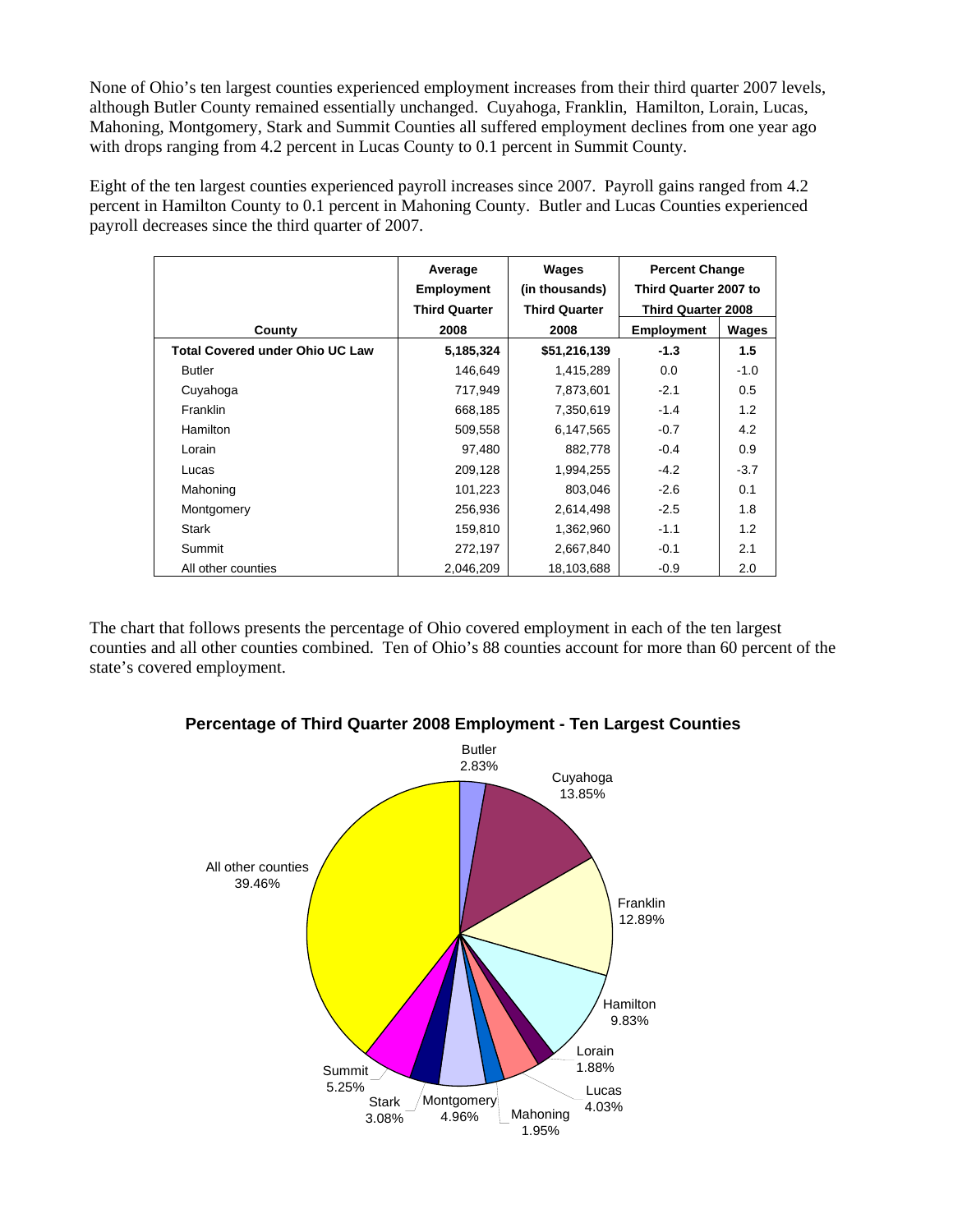None of Ohio's ten largest counties experienced employment increases from their third quarter 2007 levels, although Butler County remained essentially unchanged. Cuyahoga, Franklin, Hamilton, Lorain, Lucas, Mahoning, Montgomery, Stark and Summit Counties all suffered employment declines from one year ago with drops ranging from 4.2 percent in Lucas County to 0.1 percent in Summit County.

Eight of the ten largest counties experienced payroll increases since 2007. Payroll gains ranged from 4.2 percent in Hamilton County to 0.1 percent in Mahoning County. Butler and Lucas Counties experienced payroll decreases since the third quarter of 2007.

|                                        | Average<br><b>Employment</b><br><b>Third Quarter</b> | Wages<br>(in thousands)<br><b>Third Quarter</b> | <b>Percent Change</b><br>Third Quarter 2007 to<br><b>Third Quarter 2008</b> |        |
|----------------------------------------|------------------------------------------------------|-------------------------------------------------|-----------------------------------------------------------------------------|--------|
| County                                 | 2008                                                 | 2008                                            | <b>Employment</b>                                                           | Wages  |
| <b>Total Covered under Ohio UC Law</b> | 5,185,324                                            | \$51,216,139                                    | $-1.3$                                                                      | 1.5    |
| <b>Butler</b>                          | 146,649                                              | 1,415,289                                       | 0.0                                                                         | $-1.0$ |
| Cuyahoga                               | 717,949                                              | 7,873,601                                       | $-2.1$                                                                      | 0.5    |
| Franklin                               | 668,185                                              | 7,350,619                                       | $-1.4$                                                                      | 1.2    |
| Hamilton                               | 509,558                                              | 6,147,565                                       | $-0.7$                                                                      | 4.2    |
| Lorain                                 | 97,480                                               | 882,778                                         | $-0.4$                                                                      | 0.9    |
| Lucas                                  | 209,128                                              | 1,994,255                                       | $-4.2$                                                                      | $-3.7$ |
| Mahoning                               | 101,223                                              | 803,046                                         | $-2.6$                                                                      | 0.1    |
| Montgomery                             | 256,936                                              | 2,614,498                                       | $-2.5$                                                                      | 1.8    |
| <b>Stark</b>                           | 159,810                                              | 1,362,960                                       | $-1.1$                                                                      | 1.2    |
| Summit                                 | 272,197                                              | 2,667,840                                       | $-0.1$                                                                      | 2.1    |
| All other counties                     | 2,046,209                                            | 18,103,688                                      | $-0.9$                                                                      | 2.0    |

The chart that follows presents the percentage of Ohio covered employment in each of the ten largest counties and all other counties combined. Ten of Ohio's 88 counties account for more than 60 percent of the state's covered employment.



**Percentage of Third Quarter 2008 Employment - Ten Largest Counties**